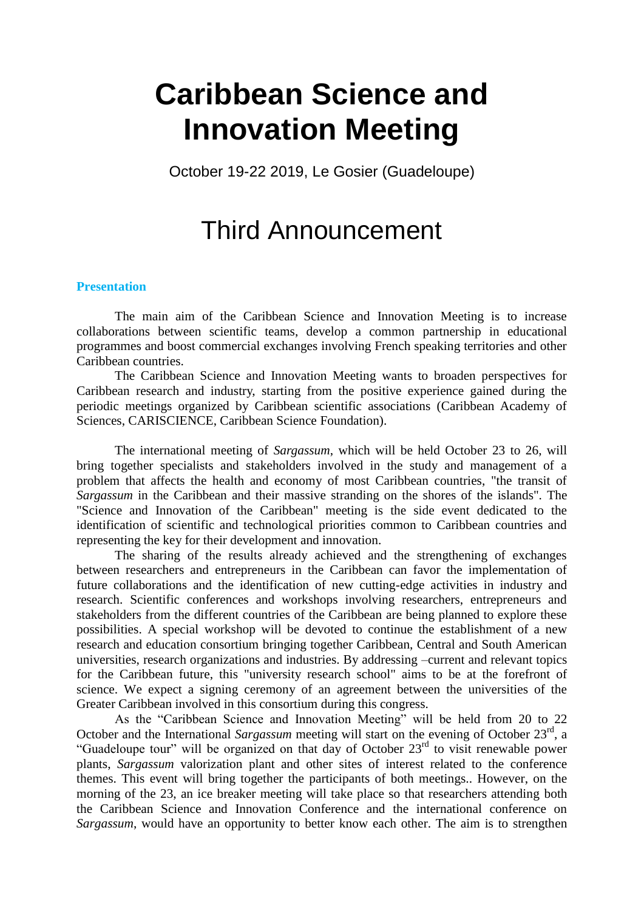# **Caribbean Science and Innovation Meeting**

October 19-22 2019, Le Gosier (Guadeloupe)

# Third Announcement

#### **Presentation**

The main aim of the Caribbean Science and Innovation Meeting is to increase collaborations between scientific teams, develop a common partnership in educational programmes and boost commercial exchanges involving French speaking territories and other Caribbean countries.

The Caribbean Science and Innovation Meeting wants to broaden perspectives for Caribbean research and industry, starting from the positive experience gained during the periodic meetings organized by Caribbean scientific associations (Caribbean Academy of Sciences, CARISCIENCE, Caribbean Science Foundation).

The international meeting of *Sargassum*, which will be held October 23 to 26, will bring together specialists and stakeholders involved in the study and management of a problem that affects the health and economy of most Caribbean countries, "the transit of *Sargassum* in the Caribbean and their massive stranding on the shores of the islands". The "Science and Innovation of the Caribbean" meeting is the side event dedicated to the identification of scientific and technological priorities common to Caribbean countries and representing the key for their development and innovation.

The sharing of the results already achieved and the strengthening of exchanges between researchers and entrepreneurs in the Caribbean can favor the implementation of future collaborations and the identification of new cutting-edge activities in industry and research. Scientific conferences and workshops involving researchers, entrepreneurs and stakeholders from the different countries of the Caribbean are being planned to explore these possibilities. A special workshop will be devoted to continue the establishment of a new research and education consortium bringing together Caribbean, Central and South American universities, research organizations and industries. By addressing –current and relevant topics for the Caribbean future, this "university research school" aims to be at the forefront of science. We expect a signing ceremony of an agreement between the universities of the Greater Caribbean involved in this consortium during this congress.

As the "Caribbean Science and Innovation Meeting" will be held from 20 to 22 October and the International Sargassum meeting will start on the evening of October 23<sup>rd</sup>, a "Guadeloupe tour" will be organized on that day of October  $23<sup>rd</sup>$  to visit renewable power plants, *Sargassum* valorization plant and other sites of interest related to the conference themes. This event will bring together the participants of both meetings.. However, on the morning of the 23, an ice breaker meeting will take place so that researchers attending both the Caribbean Science and Innovation Conference and the international conference on *Sargassum*, would have an opportunity to better know each other. The aim is to strengthen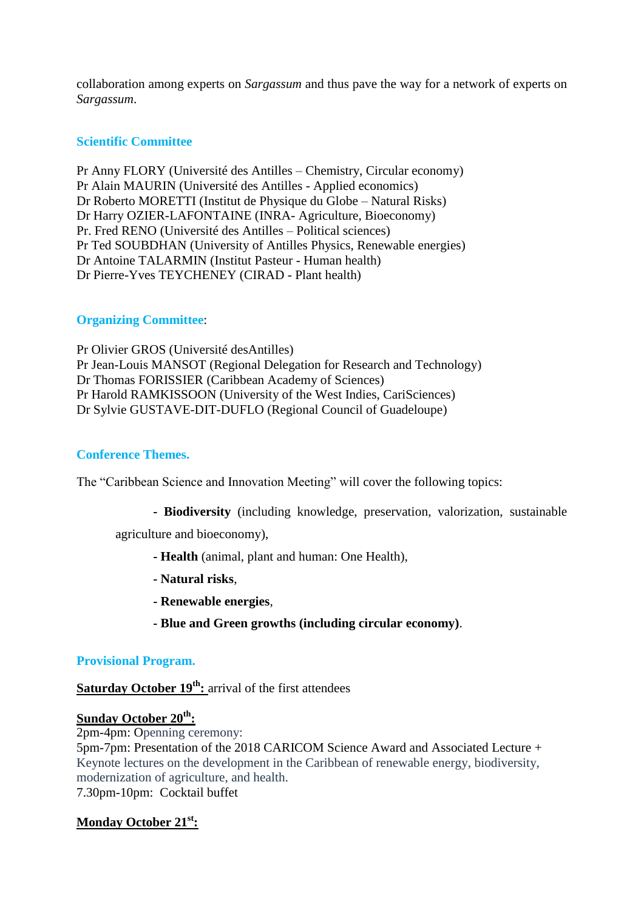collaboration among experts on *Sargassum* and thus pave the way for a network of experts on *Sargassum*.

## **Scientific Committee**

Pr Anny FLORY (Université des Antilles – Chemistry, Circular economy) Pr Alain MAURIN (Université des Antilles - Applied economics) Dr Roberto MORETTI (Institut de Physique du Globe – Natural Risks) Dr Harry OZIER-LAFONTAINE (INRA- Agriculture, Bioeconomy) Pr. Fred RENO (Université des Antilles – Political sciences) Pr Ted SOUBDHAN (University of Antilles Physics, Renewable energies) Dr Antoine TALARMIN (Institut Pasteur - Human health) Dr Pierre-Yves TEYCHENEY (CIRAD - Plant health)

# **Organizing Committee**:

Pr Olivier GROS (Université desAntilles) Pr Jean-Louis MANSOT (Regional Delegation for Research and Technology) Dr Thomas FORISSIER (Caribbean Academy of Sciences) Pr Harold RAMKISSOON (University of the West Indies, CariSciences) Dr Sylvie GUSTAVE-DIT-DUFLO (Regional Council of Guadeloupe)

#### **Conference Themes.**

The "Caribbean Science and Innovation Meeting" will cover the following topics:

**- Biodiversity** (including knowledge, preservation, valorization, sustainable

agriculture and bioeconomy),

- **- Health** (animal, plant and human: One Health),
- **- Natural risks**,
- **- Renewable energies**,
- **- Blue and Green growths (including circular economy)**.

#### **Provisional Program.**

**Saturday October 19th:** arrival of the first attendees

# **Sunday October 20th:**

2pm-4pm: Openning ceremony: 5pm-7pm: Presentation of the 2018 CARICOM Science Award and Associated Lecture + Keynote lectures on the development in the Caribbean of renewable energy, biodiversity, modernization of agriculture, and health. 7.30pm-10pm: Cocktail buffet

# **Monday October 21st:**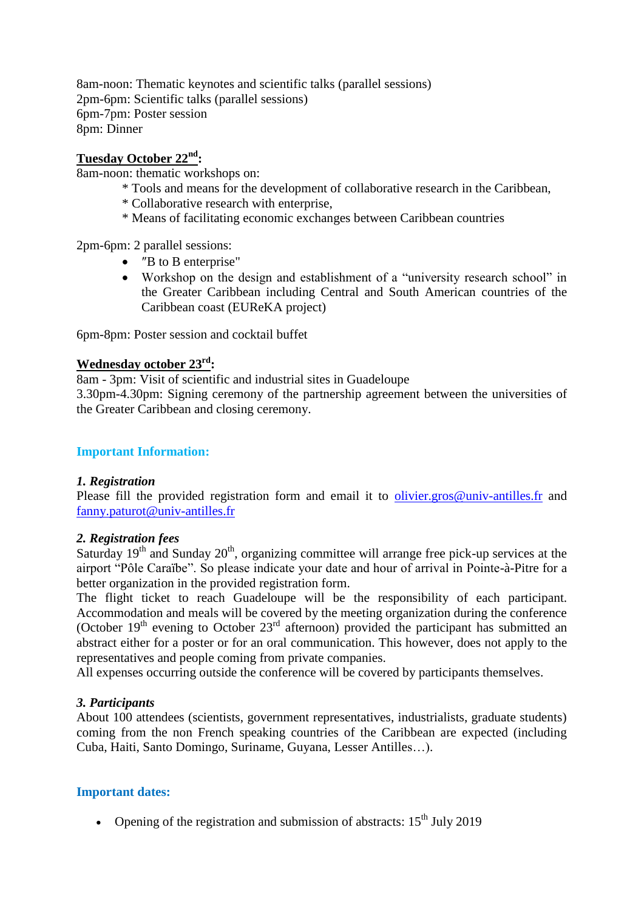8am-noon: Thematic keynotes and scientific talks (parallel sessions) 2pm-6pm: Scientific talks (parallel sessions) 6pm-7pm: Poster session 8pm: Dinner

#### **Tuesday October 22nd:**

8am-noon: thematic workshops on:

- \* Tools and means for the development of collaborative research in the Caribbean,
- \* Collaborative research with enterprise,
- \* Means of facilitating economic exchanges between Caribbean countries

2pm-6pm: 2 parallel sessions:

- *"B* to B enterprise"
- Workshop on the design and establishment of a "university research school" in the Greater Caribbean including Central and South American countries of the Caribbean coast (EUReKA project)

6pm-8pm: Poster session and cocktail buffet

# **Wednesday october 23rd:**

8am - 3pm: Visit of scientific and industrial sites in Guadeloupe

3.30pm-4.30pm: Signing ceremony of the partnership agreement between the universities of the Greater Caribbean and closing ceremony.

#### **Important Information:**

#### *1. Registration*

Please fill the provided registration form and email it to [olivier.gros@univ-antilles.fr](mailto:olivier.gros@univ-antilles.fr) and [fanny.paturot@univ-antilles.fr](mailto:fanny.paturot@univ-antilles.fr)

#### *2. Registration fees*

Saturday  $19<sup>th</sup>$  and Sunday  $20<sup>th</sup>$ , organizing committee will arrange free pick-up services at the airport "Pôle Caraïbe". So please indicate your date and hour of arrival in Pointe-à-Pitre for a better organization in the provided registration form.

The flight ticket to reach Guadeloupe will be the responsibility of each participant. Accommodation and meals will be covered by the meeting organization during the conference (October  $19<sup>th</sup>$  evening to October  $23<sup>rd</sup>$  afternoon) provided the participant has submitted an abstract either for a poster or for an oral communication. This however, does not apply to the representatives and people coming from private companies.

All expenses occurring outside the conference will be covered by participants themselves.

# *3. Participants*

About 100 attendees (scientists, government representatives, industrialists, graduate students) coming from the non French speaking countries of the Caribbean are expected (including Cuba, Haiti, Santo Domingo, Suriname, Guyana, Lesser Antilles…).

#### **Important dates:**

• Opening of the registration and submission of abstracts:  $15<sup>th</sup>$  July 2019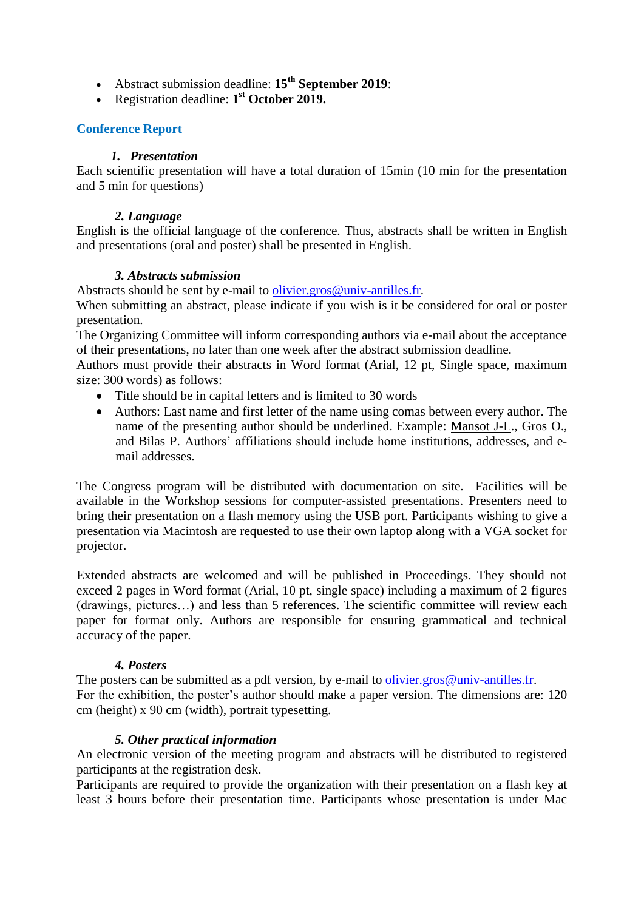- Abstract submission deadline: **15th September 2019**:
- Registration deadline: 1<sup>st</sup> October 2019.

# **Conference Report**

## *1. Presentation*

Each scientific presentation will have a total duration of 15min (10 min for the presentation and 5 min for questions)

#### *2. Language*

English is the official language of the conference. Thus, abstracts shall be written in English and presentations (oral and poster) shall be presented in English.

# *3. Abstracts submission*

Abstracts should be sent by e-mail to [olivier.gros@univ-antilles.fr.](mailto:olivier.gros@univ-antilles.fr)

When submitting an abstract, please indicate if you wish is it be considered for oral or poster presentation.

The Organizing Committee will inform corresponding authors via e-mail about the acceptance of their presentations, no later than one week after the abstract submission deadline.

Authors must provide their abstracts in Word format (Arial, 12 pt, Single space, maximum size: 300 words) as follows:

- Title should be in capital letters and is limited to 30 words
- Authors: Last name and first letter of the name using comas between every author. The name of the presenting author should be underlined. Example: Mansot J-L., Gros O., and Bilas P. Authors' affiliations should include home institutions, addresses, and email addresses.

The Congress program will be distributed with documentation on site. Facilities will be available in the Workshop sessions for computer-assisted presentations. Presenters need to bring their presentation on a flash memory using the USB port. Participants wishing to give a presentation via Macintosh are requested to use their own laptop along with a VGA socket for projector.

Extended abstracts are welcomed and will be published in Proceedings. They should not exceed 2 pages in Word format (Arial, 10 pt, single space) including a maximum of 2 figures (drawings, pictures…) and less than 5 references. The scientific committee will review each paper for format only. Authors are responsible for ensuring grammatical and technical accuracy of the paper.

# *4. Posters*

The posters can be submitted as a pdf version, by e-mail to olivier.gros@univ-antilles.fr. For the exhibition, the poster's author should make a paper version. The dimensions are: 120 cm (height) x 90 cm (width), portrait typesetting.

# *5. Other practical information*

An electronic version of the meeting program and abstracts will be distributed to registered participants at the registration desk.

Participants are required to provide the organization with their presentation on a flash key at least 3 hours before their presentation time. Participants whose presentation is under Mac